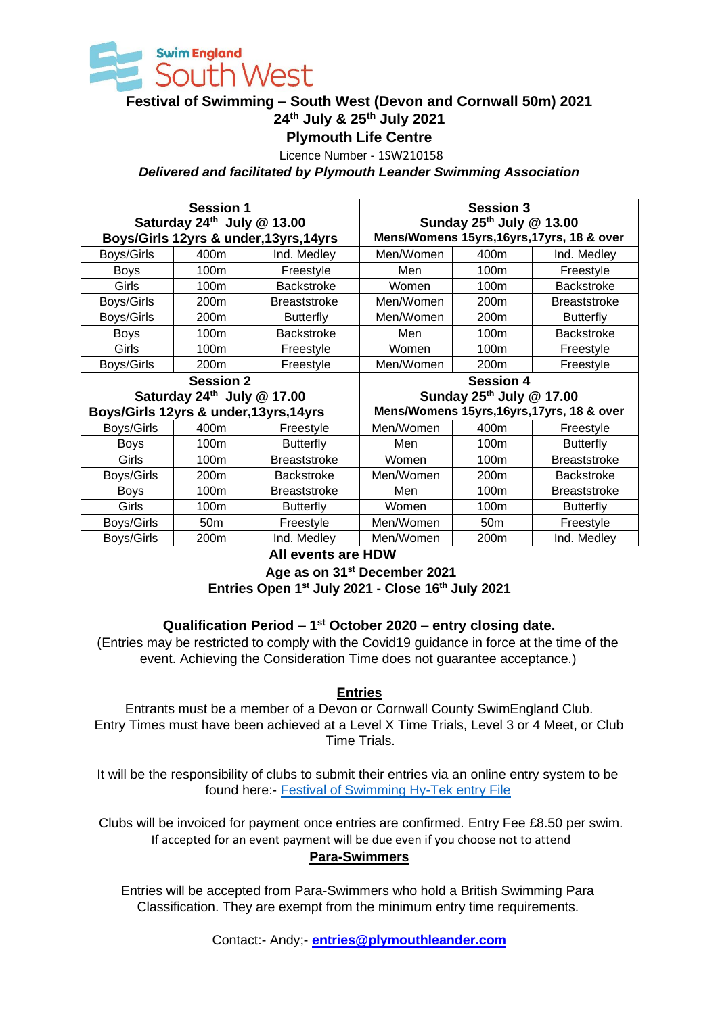

# **Festival of Swimming – South West (Devon and Cornwall 50m) 2021 24th July & 25th July 2021**

**Plymouth Life Centre**

Licence Number - 1SW210158

*Delivered and facilitated by Plymouth Leander Swimming Association*

| <b>Session 1</b><br>Saturday $24th$ July @ 13.00<br>Boys/Girls 12yrs & under, 13yrs, 14yrs |                  |                     | <b>Session 3</b><br>Sunday $25^{th}$ July @ 13.00<br>Mens/Womens 15yrs, 16yrs, 17yrs, 18 & over |                 |                     |  |
|--------------------------------------------------------------------------------------------|------------------|---------------------|-------------------------------------------------------------------------------------------------|-----------------|---------------------|--|
| Boys/Girls                                                                                 | 400m             | Ind. Medley         | Men/Women                                                                                       | 400m            | Ind. Medley         |  |
| <b>Boys</b>                                                                                | 100 <sub>m</sub> | Freestyle           | Men                                                                                             | 100m            | Freestyle           |  |
| Girls                                                                                      | 100 <sub>m</sub> | <b>Backstroke</b>   | Women                                                                                           | 100m            | <b>Backstroke</b>   |  |
| Boys/Girls                                                                                 | 200 <sub>m</sub> | <b>Breaststroke</b> | Men/Women                                                                                       | 200m            | <b>Breaststroke</b> |  |
| Boys/Girls                                                                                 | 200 <sub>m</sub> | <b>Butterfly</b>    | Men/Women                                                                                       | 200m            | <b>Butterfly</b>    |  |
| <b>Boys</b>                                                                                | 100 <sub>m</sub> | <b>Backstroke</b>   | Men                                                                                             | 100m            | <b>Backstroke</b>   |  |
| Girls                                                                                      | 100 <sub>m</sub> | Freestyle           | Women                                                                                           | 100m            | Freestyle           |  |
| Boys/Girls                                                                                 | 200 <sub>m</sub> | Freestyle           | Men/Women                                                                                       | 200m            | Freestyle           |  |
| <b>Session 2</b>                                                                           |                  |                     | <b>Session 4</b>                                                                                |                 |                     |  |
| Saturday 24th July @ 17.00                                                                 |                  |                     | Sunday 25th July @ 17.00                                                                        |                 |                     |  |
| Boys/Girls 12yrs & under, 13yrs, 14yrs                                                     |                  |                     | Mens/Womens 15yrs, 16yrs, 17yrs, 18 & over                                                      |                 |                     |  |
| Boys/Girls                                                                                 | 400m             | Freestyle           | Men/Women                                                                                       | 400m            | Freestyle           |  |
| <b>Boys</b>                                                                                | 100 <sub>m</sub> | <b>Butterfly</b>    | Men                                                                                             | 100m            | <b>Butterfly</b>    |  |
| Girls                                                                                      | 100 <sub>m</sub> | <b>Breaststroke</b> | Women                                                                                           | 100m            | <b>Breaststroke</b> |  |
| Boys/Girls                                                                                 | 200 <sub>m</sub> | <b>Backstroke</b>   | Men/Women                                                                                       | 200m            | <b>Backstroke</b>   |  |
| <b>Boys</b>                                                                                | 100 <sub>m</sub> | <b>Breaststroke</b> | Men                                                                                             | 100m            | <b>Breaststroke</b> |  |
| Girls                                                                                      | 100 <sub>m</sub> | <b>Butterfly</b>    | Women                                                                                           | 100m            | <b>Butterfly</b>    |  |
| Boys/Girls                                                                                 | 50 <sub>m</sub>  | Freestyle           | Men/Women                                                                                       | 50 <sub>m</sub> | Freestyle           |  |
| Boys/Girls                                                                                 | 200 <sub>m</sub> | Ind. Medley         | Men/Women                                                                                       | 200m            | Ind. Medley         |  |

**All events are HDW Age as on 31st December 2021 Entries Open 1st July 2021 - Close 16th July 2021**

#### **Qualification Period – 1 st October 2020 – entry closing date.**

(Entries may be restricted to comply with the Covid19 guidance in force at the time of the event. Achieving the Consideration Time does not guarantee acceptance.)

**Entries**

Entrants must be a member of a Devon or Cornwall County SwimEngland Club. Entry Times must have been achieved at a Level X Time Trials, Level 3 or 4 Meet, or Club Time Trials.

It will be the responsibility of clubs to submit their entries via an online entry system to be found here:- Festival of Swimming Hy-Tek entry File

Clubs will be invoiced for payment once entries are confirmed. Entry Fee £8.50 per swim. If accepted for an event payment will be due even if you choose not to attend **Para-Swimmers**

Entries will be accepted from Para-Swimmers who hold a British Swimming Para Classification. They are exempt from the minimum entry time requirements.

Contact:- Andy;- **entries@plymouthleander.com**